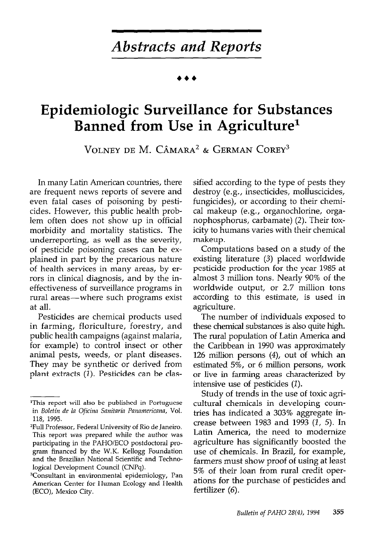## Abstracts and Reports

# Epidemiologic Surveillance for Substances Banned from Use in Agriculture1

VOLNEY DE M. CÂMARA<sup>2</sup> & GERMAN COREY<sup>3</sup>

In many Latin American countries, there are frequent news reports of severe and even fatal cases of poisoning by pesticides. However, this public health problem often does not show up in official morbidity and mortality statistics. The underreporting, as well as the severity, of pesticide poisoning cases can be explained in part by the precarious nature of health services in many areas, by errors in clinical diagnosis, and by the ineffectiveness of surveillance programs in rural areas-where such programs exist at all.

Pesticides are chemical products used in farming, floriculture, forestry, and public health campaigns (against malaria, for example) to control insect or other animal pests, weeds, or plant diseases. They may be synthetic or derived from plant extracts (I). Pesticides can be classified according to the type of pests they destroy (e.g., insecticides, molluscicides, fungicides), or according to their chemical makeup (e.g., organochlorine, organophosphorus, carbamate) (2). Their toxicity to humans varies with their chemical makeup.

Computations based on a study of the existing literature (3) placed worldwide pesticide production for the year 1985 at almost 3 million tons. Nearly 90% of the worldwide output, or 2.7 million tons according to this estimate, is used in agriculture.

The number of individuals exposed to these chemical substances is also quite high. The rural population of Latin America and the Caribbean in 1990 was approximately 126 million persons (4), out of which an estimated 5%, or 6 million persons, work or live in farming areas characterized by intensive use of pesticides (2).

Study of trends in the use of toxic agricultural chemicals in developing countries has indicated a 303% aggregate increase between 1983 and 1993 (I, 5). In Latin America, the need to modernize agriculture has significantly boosted the use of chemicals. In Brazil, for example, farmers must show proof of using at least 5% of their loan from rural credit operations for the purchase of pesticides and fertilizer (6).

<sup>&#</sup>x27;This report will also be published in Portuguese in Boletin de la Oficina Sanitaria Panamericana, Vol. 118, 1995.

<sup>2</sup>Full Professor, Federal University of Rio de Janeiro. This report was prepared while the author was participating in the PAHO/ECO postdoctoral program financed by the W.K. Kellogg Foundation and the Brazilian National Scientific and Technological Development Council (CNPq).

<sup>3</sup>Consultant in environmental epidemiology, Pan American Center for Human Ecology and Health (ECO), Mexico City.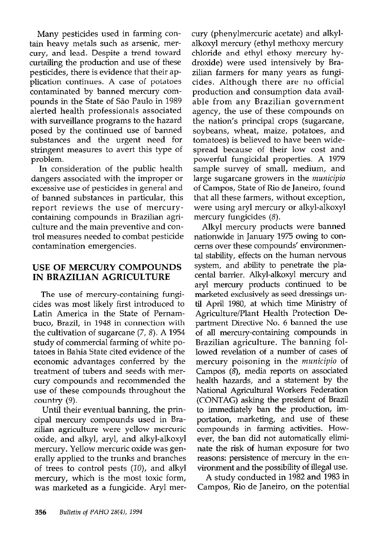Many pesticides used in farming contain heavy metals such as arsenic, mercury, and lead. Despite a trend toward curtailing the production and use of these pesticides, there is evidence that their application continues. A case of potatoes contaminated by banned mercury compounds in the State of São Paulo in 1989 alerted health professionals associated with surveillance programs to the hazard posed by the continued use of banned substances and the urgent need for stringent measures to avert this type of problem.

In consideration of the public health dangers associated with the improper or excessive use of pesticides in general and of banned substances in particular, this report reviews the use of mercurycontaining compounds in Brazilian agriculture and the main preventive and control measures needed to combat pesticide contamination emergencies.

### USE OF MERCURY COMPOUNDS IN BRAZILIAN AGRICULTURE

The use of mercury-containing fungicides was most likely first introduced to Latin America in the State of Pernambuco, Brazil, in 1948 in connection with the cultivation of sugarcane  $(7, 8)$ . A 1954 study of commercial farming of white potatoes in Bahia State cited evidence of the economic advantages conferred by the treatment of tubers and seeds with mercury compounds and recommended the use of these compounds throughout the country (9).

Until their eventual banning, the principal mercury compounds used in Brazilian agriculture were yellow mercuric oxide, and alkyl, aryl, and alkyl-alkoxyl mercury. Yellow mercuric oxide was generally applied to the trunks and branches of trees to control pests (IO), and alkyl mercury, which is the most toxic form, was marketed as a fungicide. Aryl mer-

cury (phenylmercuric acetate) and alkylalkoxyl mercury (ethyl methoxy mercury chloride and ethyl ethoxy mercury hydroxide) were used intensively by Brazilian farmers for many years as fungicides. Although there are no official production and consumption data available from any Brazilian government agency, the use of these compounds on the nation's principal crops (sugarcane, soybeans, wheat, maize, potatoes, and tomatoes) is believed to have been widespread because of their low cost and powerful fungicidal properties. A 1979 sample survey of small, medium, and large sugarcane growers in the *municipio* of Campos, State of Rio de Janeiro, found that all these farmers, without exception, were using aryl mercury or alkyl-alkoxyl mercury fungicides (8).

Alkyl mercury products were banned nationwide in January 1975 owing to concerns over these compounds' environmental stability, effects on the human nervous system, and ability to penetrate the placental barrier. Alkyl-alkoxyl mercury and aryl mercury products continued to be marketed exclusively as seed dressings until April 1980, at which time Ministry of Agriculture/Plant Health Protection Department Directive No. 6 banned the use of all mercury-containing compounds in Brazilian agriculture. The banning followed revelation of a number of cases of mercury poisoning in the municipio of Campos (8), media reports on associated health hazards, and a statement by the National Agricultural Workers Federation (CONTAG) asking the president of Brazil to immediately ban the production, importation, marketing, and use of these compounds in farming activities. However, the ban did not automatically eliminate the risk of human exposure for two reasons: persistence of mercury in the environment and the possibility of illegal use.

A study conducted in 1982 and 1983 in Campos, Rio de Janeiro, on the potential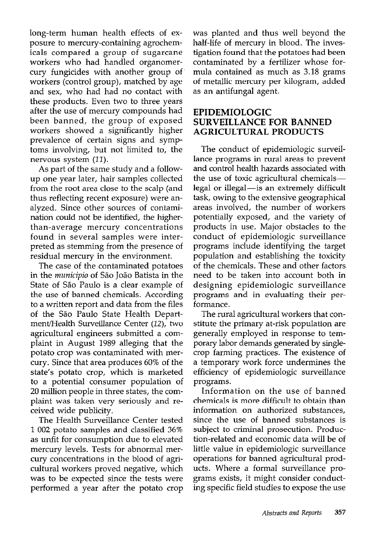long-term human health effects of exposure to mercury-containing agrochemicals compared a group of sugarcane workers who had handled organomercury fungicides with another group of' workers (control group), matched by age and sex, who had had no contact with these products. Even two to three years after the use of mercury compounds had been banned, the group of exposed workers showed a significantly higher prevalence of certain signs and symptoms involving, but not limited to, the nervous system  $(11)$ .

As part of the same study and a followup one year later, hair samples collected from the root area close to the scalp (and thus reflecting recent exposure) were analyzed. Since other sources of contamination could not be identified, the higherthan-average mercury concentrations found in several samples were interpreted as stemming from the presence of residual mercury in the environment.

The case of the contaminated potatoes in the municipio of São João Batista in the State of São Paulo is a clear example of the use of banned chemicals. According to a written report and data from the files of the Sao Paulo State Health Department/Health Surveillance Center (12), two agricultural engineers submitted a complaint in August 1989 alleging that the potato crop was contaminated with mercury. Since that area produces 60% of the state's potato crop, which is marketed to a potential consumer population of 20 million people in three states, the complaint was taken very seriously and received wide publicity.

The Health Surveillance Center tested 1 002 potato samples and classified 36% as unfit for consumption due to elevated mercury levels. Tests for abnormal mercury concentrations in the blood of agricultural workers proved negative, which was to be expected since the tests were performed a year after the potato crop was planted and thus well beyond the half-life of mercury in blood. The investigation found that the potatoes had been contaminated by a fertilizer whose formula contained as much as 3.18 grams of metallic mercury per kilogram, added as an antifungal agent.

### EPIDEMIOLOGIC SURVEILLANCE FOR BANNED AGRICULTURAL PRODUCTS

The conduct of epidemiologic surveillance programs in rural areas to prevent and control health hazards associated with the use of toxic agricultural chemicalslegal or illegal-is an extremely difficult task, owing to the extensive geographical areas involved, the number of workers potentially exposed, and the variety of products in use. Major obstacles to the conduct of epidemiologic surveillance programs include identifying the target population and establishing the toxicity of the chemicals. These and other factors need to be taken into account both in designing epidemiologic surveillance programs and in evaluating their performance.

The rural agricultural workers that constitute the primary at-risk population are generally employed in response to temporary labor demands generated by singlecrop farming practices. The existence of a temporary work force undermines the efficiency of epidemiologic surveillance programs.

Information on the use of banned chemicals is more difficult to obtain than information on authorized substances, since the use of banned substances is subject to criminal prosecution. Production-related and economic data will be of little value in epidemiologic surveillance operations for banned agricultural products. Where a formal surveillance programs exists, it might consider conducting specific field studies to expose the use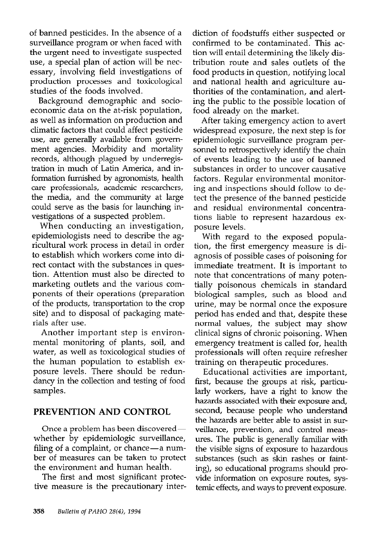of banned pesticides. In the absence of a surveillance program or when faced with the urgent need to investigate suspected use, a special plan of action will be necessary, involving field investigations of production processes and toxicological studies of the foods involved.

Background demographic and socioeconomic data on the at-risk population, as well as information on production and climatic factors that could affect pesticide use, are generally available from government agencies. Morbidity and mortality records, although plagued by underregistration in much of Latin America, and information furnished by agronomists, health care professionals, academic researchers, the media, and the community at large could serve as the basis for launching investigations of a suspected problem.

When conducting an investigation, epidemiologists need to describe the agricultural work process in detail in order to establish which workers come into direct contact with the substances in question. Attention must also be directed to marketing outlets and the various components of their operations (preparation of the products, transportation to the crop site) and to disposal of packaging materials after use.

Another important step is environmental monitoring of plants, soil, and water, as well as toxicological studies of the human population to establish exposure levels. There should be redundancy in the collection and testing of food samples.

## PREVENTION AND CONTROL

Once a problem has been discoveredwhether by epidemiologic surveillance, filing of a complaint, or chance-a number of measures can be taken to protect the environment and human health.

The first and most significant protective measure is the precautionary interdiction of foodstuffs either suspected or confirmed to be contaminated. This action will entail determining the likely distribution route and sales outlets of the food products in question, notifying local and national health and agriculture authorities of the contamination, and alerting the public to the possible location of food already on the market.

After taking emergency action to avert widespread exposure, the next step is for epidemiologic surveillance program personnel to retrospectively identify the chain of events leading to the use of banned substances in order to uncover causative factors. Regular environmental monitoring and inspections should follow to detect the presence of the banned pesticide and residual environmental concentrations liable to represent hazardous exposure levels.

With regard to the exposed population, the first emergency measure is diagnosis of possible cases of poisoning for immediate treatment. It is important to note that concentrations of many potentially poisonous chemicals in standard biological samples, such as blood and urine, may be normal once the exposure period has ended and that, despite these normal values, the subject may show clinical signs of chronic poisoning. When emergency treatment is called for, health professionals will often require refresher training on therapeutic procedures.

Educational activities are important, first, because the groups at risk, particularly workers, have a right to know the hazards associated with their exposure and, second, because people who understand the hazards are better able to assist in surveillance, prevention, and control measures. The public is generally familiar with the visible signs of exposure to hazardous substances (such as skin rashes or fainting), so educational programs should provide information on exposure routes, systemic effects, and ways to prevent exposure.